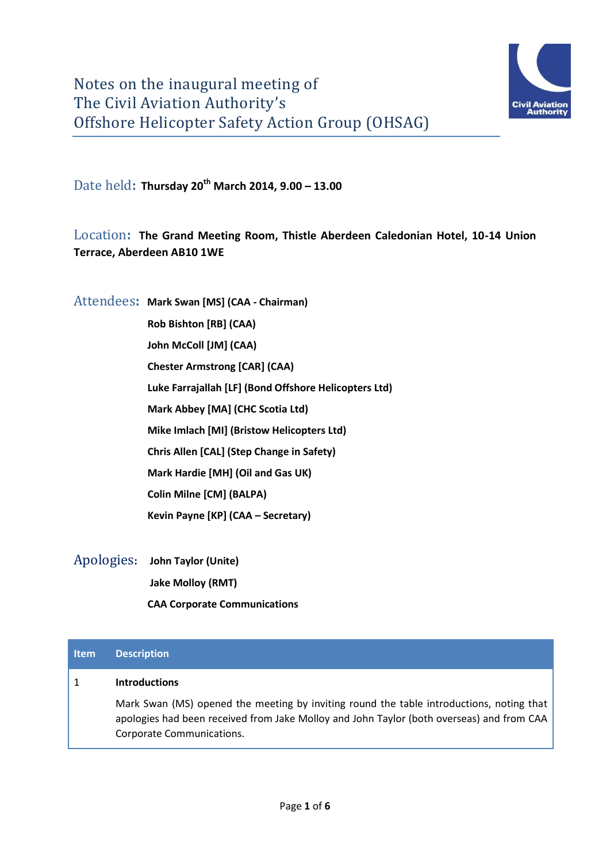

Date held**: Thursday 20th March 2014, 9.00 – 13.00**

## Location**: The Grand Meeting Room, Thistle Aberdeen Caledonian Hotel, 10-14 Union Terrace, Aberdeen AB10 1WE**

Attendees**: Mark Swan [MS] (CAA - Chairman)** 

**Rob Bishton [RB] (CAA) John McColl [JM] (CAA) Chester Armstrong [CAR] (CAA) Luke Farrajallah [LF] (Bond Offshore Helicopters Ltd) Mark Abbey [MA] (CHC Scotia Ltd) Mike Imlach [MI] (Bristow Helicopters Ltd) Chris Allen [CAL] (Step Change in Safety) Mark Hardie [MH] (Oil and Gas UK) Colin Milne [CM] (BALPA) Kevin Payne [KP] (CAA – Secretary)**

Apologies**: John Taylor (Unite) Jake Molloy (RMT) CAA Corporate Communications**

# **Item Description**

#### 1 **Introductions**

Mark Swan (MS) opened the meeting by inviting round the table introductions, noting that apologies had been received from Jake Molloy and John Taylor (both overseas) and from CAA Corporate Communications.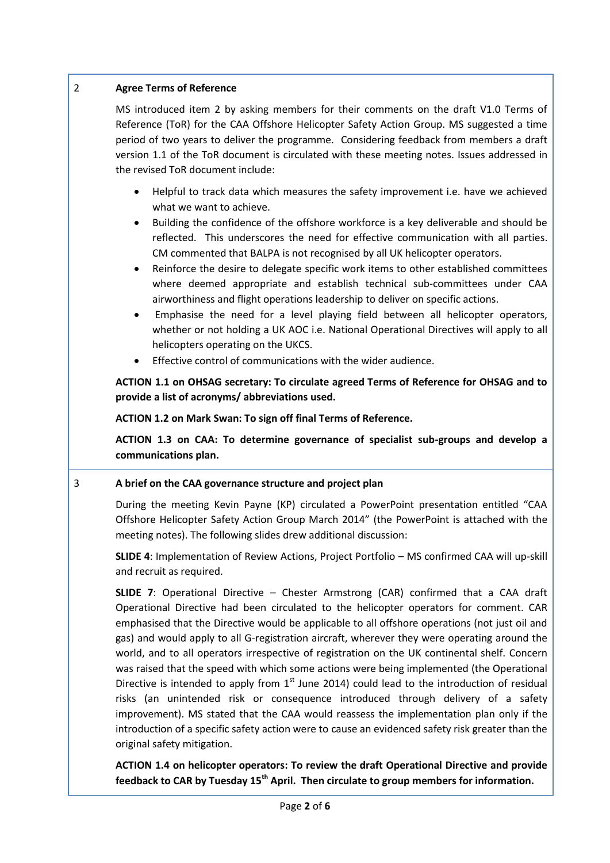## 2 **Agree Terms of Reference**

MS introduced item 2 by asking members for their comments on the draft V1.0 Terms of Reference (ToR) for the CAA Offshore Helicopter Safety Action Group. MS suggested a time period of two years to deliver the programme. Considering feedback from members a draft version 1.1 of the ToR document is circulated with these meeting notes. Issues addressed in the revised ToR document include:

- Helpful to track data which measures the safety improvement i.e. have we achieved what we want to achieve.
- Building the confidence of the offshore workforce is a key deliverable and should be reflected. This underscores the need for effective communication with all parties. CM commented that BALPA is not recognised by all UK helicopter operators.
- Reinforce the desire to delegate specific work items to other established committees where deemed appropriate and establish technical sub-committees under CAA airworthiness and flight operations leadership to deliver on specific actions.
- Emphasise the need for a level playing field between all helicopter operators, whether or not holding a UK AOC i.e. National Operational Directives will apply to all helicopters operating on the UKCS.
- Effective control of communications with the wider audience.

**ACTION 1.1 on OHSAG secretary: To circulate agreed Terms of Reference for OHSAG and to provide a list of acronyms/ abbreviations used.**

**ACTION 1.2 on Mark Swan: To sign off final Terms of Reference.**

**ACTION 1.3 on CAA: To determine governance of specialist sub-groups and develop a communications plan.**

## 3 **A brief on the CAA governance structure and project plan**

During the meeting Kevin Payne (KP) circulated a PowerPoint presentation entitled "CAA Offshore Helicopter Safety Action Group March 2014" (the PowerPoint is attached with the meeting notes). The following slides drew additional discussion:

**SLIDE 4**: Implementation of Review Actions, Project Portfolio – MS confirmed CAA will up-skill and recruit as required.

**SLIDE 7**: Operational Directive – Chester Armstrong (CAR) confirmed that a CAA draft Operational Directive had been circulated to the helicopter operators for comment. CAR emphasised that the Directive would be applicable to all offshore operations (not just oil and gas) and would apply to all G-registration aircraft, wherever they were operating around the world, and to all operators irrespective of registration on the UK continental shelf. Concern was raised that the speed with which some actions were being implemented (the Operational Directive is intended to apply from  $1<sup>st</sup>$  June 2014) could lead to the introduction of residual risks (an unintended risk or consequence introduced through delivery of a safety improvement). MS stated that the CAA would reassess the implementation plan only if the introduction of a specific safety action were to cause an evidenced safety risk greater than the original safety mitigation.

**ACTION 1.4 on helicopter operators: To review the draft Operational Directive and provide feedback to CAR by Tuesday 15th April. Then circulate to group members for information.**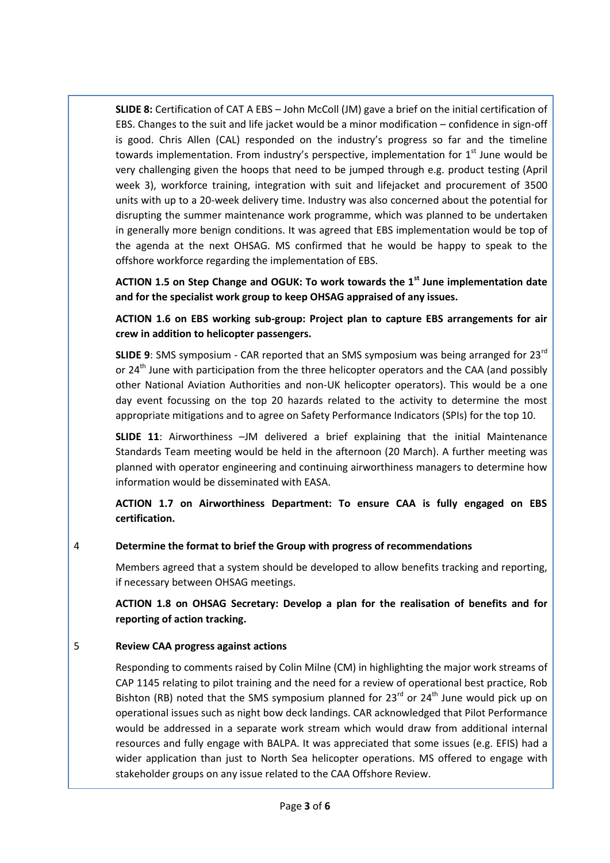**SLIDE 8:** Certification of CAT A EBS – John McColl (JM) gave a brief on the initial certification of EBS. Changes to the suit and life jacket would be a minor modification – confidence in sign-off is good. Chris Allen (CAL) responded on the industry's progress so far and the timeline towards implementation. From industry's perspective, implementation for 1<sup>st</sup> June would be very challenging given the hoops that need to be jumped through e.g. product testing (April week 3), workforce training, integration with suit and lifejacket and procurement of 3500 units with up to a 20-week delivery time. Industry was also concerned about the potential for disrupting the summer maintenance work programme, which was planned to be undertaken in generally more benign conditions. It was agreed that EBS implementation would be top of the agenda at the next OHSAG. MS confirmed that he would be happy to speak to the offshore workforce regarding the implementation of EBS.

**ACTION 1.5 on Step Change and OGUK: To work towards the 1st June implementation date and for the specialist work group to keep OHSAG appraised of any issues.**

**ACTION 1.6 on EBS working sub-group: Project plan to capture EBS arrangements for air crew in addition to helicopter passengers.** 

**SLIDE 9**: SMS symposium - CAR reported that an SMS symposium was being arranged for 23rd or  $24<sup>th</sup>$  June with participation from the three helicopter operators and the CAA (and possibly other National Aviation Authorities and non-UK helicopter operators). This would be a one day event focussing on the top 20 hazards related to the activity to determine the most appropriate mitigations and to agree on Safety Performance Indicators (SPIs) for the top 10.

**SLIDE 11**: Airworthiness –JM delivered a brief explaining that the initial Maintenance Standards Team meeting would be held in the afternoon (20 March). A further meeting was planned with operator engineering and continuing airworthiness managers to determine how information would be disseminated with EASA.

**ACTION 1.7 on Airworthiness Department: To ensure CAA is fully engaged on EBS certification.**

4 **Determine the format to brief the Group with progress of recommendations**

Members agreed that a system should be developed to allow benefits tracking and reporting, if necessary between OHSAG meetings.

**ACTION 1.8 on OHSAG Secretary: Develop a plan for the realisation of benefits and for reporting of action tracking.**

#### 5 **Review CAA progress against actions**

Responding to comments raised by Colin Milne (CM) in highlighting the major work streams of CAP 1145 relating to pilot training and the need for a review of operational best practice, Rob Bishton (RB) noted that the SMS symposium planned for  $23^{rd}$  or  $24^{th}$  June would pick up on operational issues such as night bow deck landings. CAR acknowledged that Pilot Performance would be addressed in a separate work stream which would draw from additional internal resources and fully engage with BALPA. It was appreciated that some issues (e.g. EFIS) had a wider application than just to North Sea helicopter operations. MS offered to engage with stakeholder groups on any issue related to the CAA Offshore Review.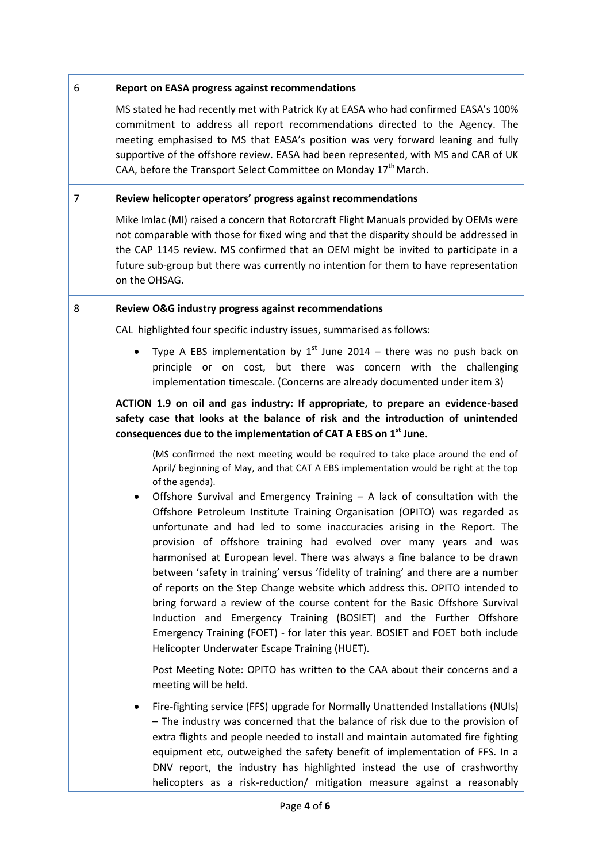#### 6 **Report on EASA progress against recommendations**

MS stated he had recently met with Patrick Ky at EASA who had confirmed EASA's 100% commitment to address all report recommendations directed to the Agency. The meeting emphasised to MS that EASA's position was very forward leaning and fully supportive of the offshore review. EASA had been represented, with MS and CAR of UK CAA, before the Transport Select Committee on Monday  $17<sup>th</sup>$  March.

#### 7 **Review helicopter operators' progress against recommendations**

Mike Imlac (MI) raised a concern that Rotorcraft Flight Manuals provided by OEMs were not comparable with those for fixed wing and that the disparity should be addressed in the CAP 1145 review. MS confirmed that an OEM might be invited to participate in a future sub-group but there was currently no intention for them to have representation on the OHSAG.

#### 8 **Review O&G industry progress against recommendations**

CAL highlighted four specific industry issues, summarised as follows:

• Type A EBS implementation by 1<sup>st</sup> June 2014 – there was no push back on principle or on cost, but there was concern with the challenging implementation timescale. (Concerns are already documented under item 3)

## **ACTION 1.9 on oil and gas industry: If appropriate, to prepare an evidence-based safety case that looks at the balance of risk and the introduction of unintended consequences due to the implementation of CAT A EBS on 1st June.**

(MS confirmed the next meeting would be required to take place around the end of April/ beginning of May, and that CAT A EBS implementation would be right at the top of the agenda).

Offshore Survival and Emergency Training  $-$  A lack of consultation with the Offshore Petroleum Institute Training Organisation (OPITO) was regarded as unfortunate and had led to some inaccuracies arising in the Report. The provision of offshore training had evolved over many years and was harmonised at European level. There was always a fine balance to be drawn between 'safety in training' versus 'fidelity of training' and there are a number of reports on the Step Change website which address this. OPITO intended to bring forward a review of the course content for the Basic Offshore Survival Induction and Emergency Training (BOSIET) and the Further Offshore Emergency Training (FOET) - for later this year. BOSIET and FOET both include Helicopter Underwater Escape Training (HUET).

Post Meeting Note: OPITO has written to the CAA about their concerns and a meeting will be held.

 Fire-fighting service (FFS) upgrade for Normally Unattended Installations (NUIs) – The industry was concerned that the balance of risk due to the provision of extra flights and people needed to install and maintain automated fire fighting equipment etc, outweighed the safety benefit of implementation of FFS. In a DNV report, the industry has highlighted instead the use of crashworthy helicopters as a risk-reduction/ mitigation measure against a reasonably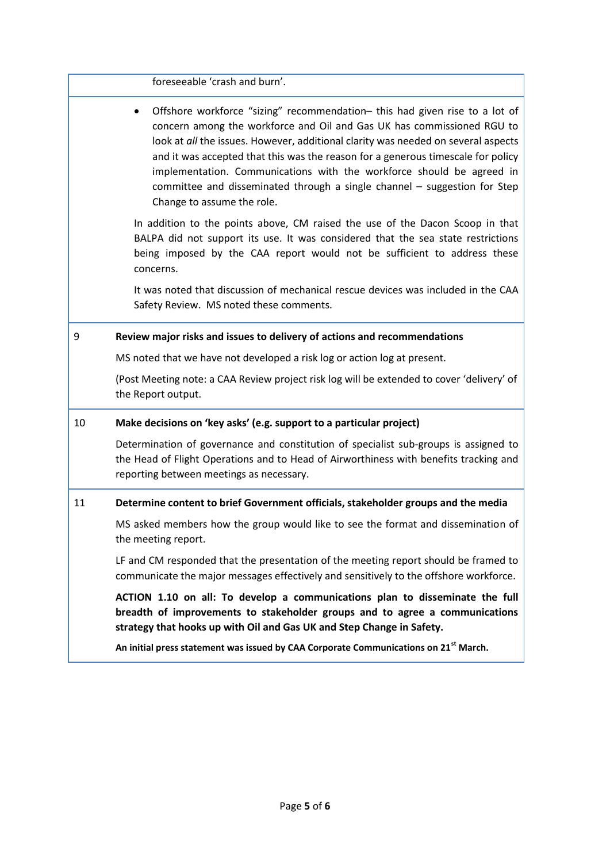foreseeable 'crash and burn'.

 Offshore workforce "sizing" recommendation– this had given rise to a lot of concern among the workforce and Oil and Gas UK has commissioned RGU to look at *all* the issues. However, additional clarity was needed on several aspects and it was accepted that this was the reason for a generous timescale for policy implementation. Communications with the workforce should be agreed in committee and disseminated through a single channel – suggestion for Step Change to assume the role.

In addition to the points above, CM raised the use of the Dacon Scoop in that BALPA did not support its use. It was considered that the sea state restrictions being imposed by the CAA report would not be sufficient to address these concerns.

It was noted that discussion of mechanical rescue devices was included in the CAA Safety Review. MS noted these comments.

#### 9 **Review major risks and issues to delivery of actions and recommendations**

MS noted that we have not developed a risk log or action log at present.

(Post Meeting note: a CAA Review project risk log will be extended to cover 'delivery' of the Report output.

#### 10 **Make decisions on 'key asks' (e.g. support to a particular project)**

Determination of governance and constitution of specialist sub-groups is assigned to the Head of Flight Operations and to Head of Airworthiness with benefits tracking and reporting between meetings as necessary.

#### 11 **Determine content to brief Government officials, stakeholder groups and the media**

MS asked members how the group would like to see the format and dissemination of the meeting report.

LF and CM responded that the presentation of the meeting report should be framed to communicate the major messages effectively and sensitively to the offshore workforce.

**ACTION 1.10 on all: To develop a communications plan to disseminate the full breadth of improvements to stakeholder groups and to agree a communications strategy that hooks up with Oil and Gas UK and Step Change in Safety.**

**An initial press statement was issued by CAA Corporate Communications on 21st March.**